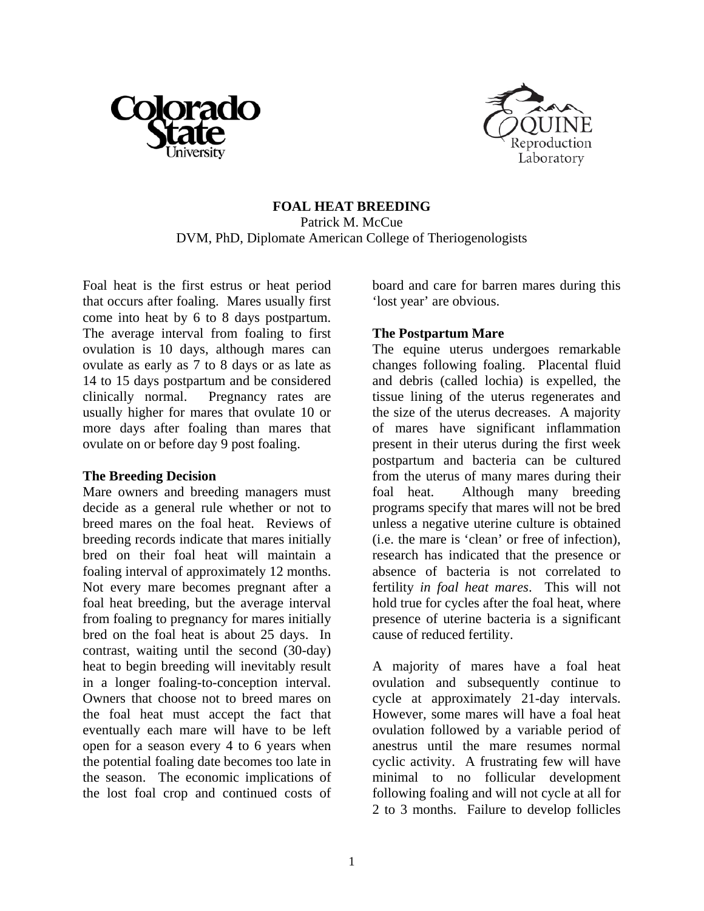



## **FOAL HEAT BREEDING**  Patrick M. McCue DVM, PhD, Diplomate American College of Theriogenologists

Foal heat is the first estrus or heat period that occurs after foaling. Mares usually first come into heat by 6 to 8 days postpartum. The average interval from foaling to first ovulation is 10 days, although mares can ovulate as early as 7 to 8 days or as late as 14 to 15 days postpartum and be considered clinically normal. Pregnancy rates are usually higher for mares that ovulate 10 or more days after foaling than mares that ovulate on or before day 9 post foaling.

## **The Breeding Decision**

Mare owners and breeding managers must decide as a general rule whether or not to breed mares on the foal heat. Reviews of breeding records indicate that mares initially bred on their foal heat will maintain a foaling interval of approximately 12 months. Not every mare becomes pregnant after a foal heat breeding, but the average interval from foaling to pregnancy for mares initially bred on the foal heat is about 25 days. In contrast, waiting until the second (30-day) heat to begin breeding will inevitably result in a longer foaling-to-conception interval. Owners that choose not to breed mares on the foal heat must accept the fact that eventually each mare will have to be left open for a season every 4 to 6 years when the potential foaling date becomes too late in the season. The economic implications of the lost foal crop and continued costs of

board and care for barren mares during this 'lost year' are obvious.

## **The Postpartum Mare**

The equine uterus undergoes remarkable changes following foaling. Placental fluid and debris (called lochia) is expelled, the tissue lining of the uterus regenerates and the size of the uterus decreases. A majority of mares have significant inflammation present in their uterus during the first week postpartum and bacteria can be cultured from the uterus of many mares during their foal heat. Although many breeding programs specify that mares will not be bred unless a negative uterine culture is obtained (i.e. the mare is 'clean' or free of infection), research has indicated that the presence or absence of bacteria is not correlated to fertility *in foal heat mares*. This will not hold true for cycles after the foal heat, where presence of uterine bacteria is a significant cause of reduced fertility.

A majority of mares have a foal heat ovulation and subsequently continue to cycle at approximately 21-day intervals. However, some mares will have a foal heat ovulation followed by a variable period of anestrus until the mare resumes normal cyclic activity. A frustrating few will have minimal to no follicular development following foaling and will not cycle at all for 2 to 3 months. Failure to develop follicles